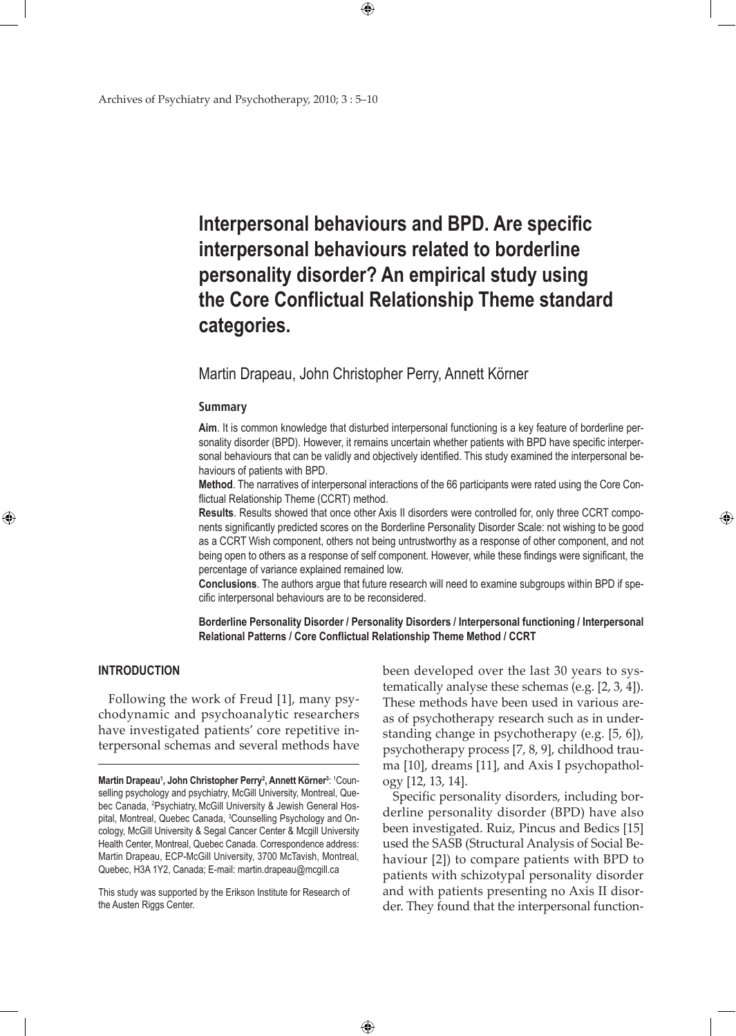# **interpersonal behaviours and BPD. Are specific interpersonal behaviours related to borderline personality disorder? An empirical study using the Core Conflictual Relationship Theme standard categories.**

## Martin Drapeau, John Christopher Perry, Annett Körner

 $\bigoplus$ 

#### **Summary**

**Aim**. It is common knowledge that disturbed interpersonal functioning is a key feature of borderline personality disorder (BPD). However, it remains uncertain whether patients with BPD have specific interpersonal behaviours that can be validly and objectively identified. This study examined the interpersonal behaviours of patients with BPD.

**Method**. The narratives of interpersonal interactions of the 66 participants were rated using the Core Conflictual Relationship Theme (CCRT) method.

**Results**. Results showed that once other Axis II disorders were controlled for, only three CCRT components significantly predicted scores on the Borderline Personality Disorder Scale: not wishing to be good as a CCRT Wish component, others not being untrustworthy as a response of other component, and not being open to others as a response of self component. However, while these findings were significant, the percentage of variance explained remained low.

**Conclusions**. The authors argue that future research will need to examine subgroups within BPD if specific interpersonal behaviours are to be reconsidered.

**Borderline Personality Disorder / Personality Disorders / Interpersonal functioning / Interpersonal Relational Patterns / Core Conflictual Relationship Theme Method / CCRT**

 $\bigoplus$ 

#### **INTRODUCTION**

⊕

Following the work of Freud [1], many psychodynamic and psychoanalytic researchers have investigated patients' core repetitive interpersonal schemas and several methods have

This study was supported by the Erikson Institute for Research of the Austen Riggs Center.

been developed over the last 30 years to systematically analyse these schemas (e.g. [2, 3, 4]). These methods have been used in various areas of psychotherapy research such as in understanding change in psychotherapy (e.g. [5, 6]), psychotherapy process [7, 8, 9], childhood trauma [10], dreams [11], and Axis I psychopathology [12, 13, 14].

⊕

Specific personality disorders, including borderline personality disorder (BPD) have also been investigated. Ruiz, Pincus and Bedics [15] used the SASB (Structural Analysis of Social Behaviour [2]) to compare patients with BPD to patients with schizotypal personality disorder and with patients presenting no Axis II disorder. They found that the interpersonal function-

**Martin Drapeau<sup>1</sup>, John Christopher Perry<sup>2</sup>, Annett Körner<sup>3</sup>: <sup>1</sup>Coun**selling psychology and psychiatry, McGill University, Montreal, Quebec Canada, <sup>2</sup>Psychiatry, McGill University & Jewish General Hospital, Montreal, Quebec Canada, <sup>3</sup>Counselling Psychology and Oncology, McGill University & Segal Cancer Center & Mcgill University Health Center, Montreal, Quebec Canada. Correspondence address: Martin Drapeau, ECP-McGill University, 3700 McTavish, Montreal, Quebec, H3A 1Y2, Canada; E-mail: martin.drapeau@mcgill.ca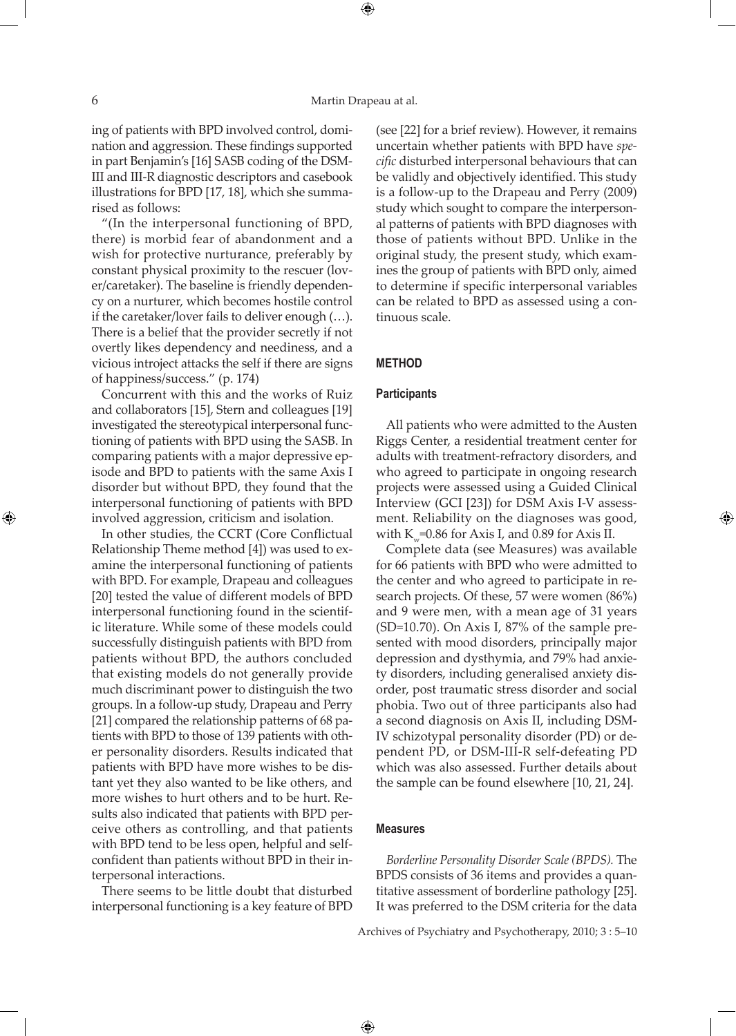⊕

ing of patients with BPD involved control, domination and aggression. These findings supported in part Benjamin's [16] SASB coding of the DSM-III and III-R diagnostic descriptors and casebook illustrations for BPD [17, 18], which she summarised as follows:

"(In the interpersonal functioning of BPD, there) is morbid fear of abandonment and a wish for protective nurturance, preferably by constant physical proximity to the rescuer (lover/caretaker). The baseline is friendly dependency on a nurturer, which becomes hostile control if the caretaker/lover fails to deliver enough (…). There is a belief that the provider secretly if not overtly likes dependency and neediness, and a vicious introject attacks the self if there are signs of happiness/success." (p. 174)

Concurrent with this and the works of Ruiz and collaborators [15], Stern and colleagues [19] investigated the stereotypical interpersonal functioning of patients with BPD using the SASB. In comparing patients with a major depressive episode and BPD to patients with the same Axis I disorder but without BPD, they found that the interpersonal functioning of patients with BPD involved aggression, criticism and isolation.

In other studies, the CCRT (Core Conflictual Relationship Theme method [4]) was used to examine the interpersonal functioning of patients with BPD. For example, Drapeau and colleagues [20] tested the value of different models of BPD interpersonal functioning found in the scientific literature. While some of these models could successfully distinguish patients with BPD from patients without BPD, the authors concluded that existing models do not generally provide much discriminant power to distinguish the two groups. In a follow-up study, Drapeau and Perry [21] compared the relationship patterns of 68 patients with BPD to those of 139 patients with other personality disorders. Results indicated that patients with BPD have more wishes to be distant yet they also wanted to be like others, and more wishes to hurt others and to be hurt. Results also indicated that patients with BPD perceive others as controlling, and that patients with BPD tend to be less open, helpful and selfconfident than patients without BPD in their interpersonal interactions.

There seems to be little doubt that disturbed interpersonal functioning is a key feature of BPD (see [22] for a brief review). However, it remains uncertain whether patients with BPD have *specific* disturbed interpersonal behaviours that can be validly and objectively identified. This study is a follow-up to the Drapeau and Perry (2009) study which sought to compare the interpersonal patterns of patients with BPD diagnoses with those of patients without BPD. Unlike in the original study, the present study, which examines the group of patients with BPD only, aimed to determine if specific interpersonal variables can be related to BPD as assessed using a continuous scale.

## **METHOD**

#### **Participants**

All patients who were admitted to the Austen Riggs Center, a residential treatment center for adults with treatment-refractory disorders, and who agreed to participate in ongoing research projects were assessed using a Guided Clinical Interview (GCI [23]) for DSM Axis I-V assessment. Reliability on the diagnoses was good, with K<sub>w</sub>=0.86 for Axis I, and 0.89 for Axis II.

 $\bigoplus$ 

Complete data (see Measures) was available for 66 patients with BPD who were admitted to the center and who agreed to participate in research projects. Of these, 57 were women (86%) and 9 were men, with a mean age of 31 years (SD=10.70). On Axis I, 87% of the sample presented with mood disorders, principally major depression and dysthymia, and 79% had anxiety disorders, including generalised anxiety disorder, post traumatic stress disorder and social phobia. Two out of three participants also had a second diagnosis on Axis II, including DSM-IV schizotypal personality disorder (PD) or dependent PD, or DSM-III-R self-defeating PD which was also assessed. Further details about the sample can be found elsewhere [10, 21, 24].

## **Measures**

 $\bigoplus$ 

*Borderline Personality Disorder Scale (BPDS).* The BPDS consists of 36 items and provides a quantitative assessment of borderline pathology [25]. It was preferred to the DSM criteria for the data

Archives of Psychiatry and Psychotherapy, 2010; 3 : 5–10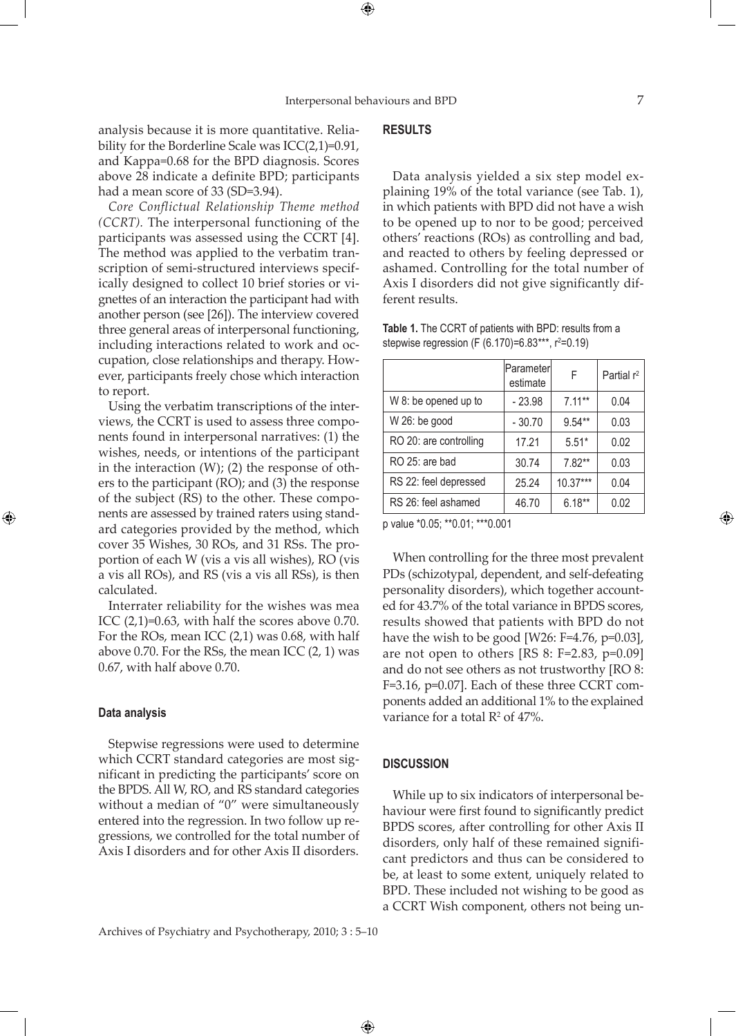⊕

analysis because it is more quantitative. Reliability for the Borderline Scale was ICC(2,1)=0.91, and Kappa=0.68 for the BPD diagnosis. Scores above 28 indicate a definite BPD; participants had a mean score of 33 (SD=3.94).

*Core Conflictual Relationship Theme method (CCRT).* The interpersonal functioning of the participants was assessed using the CCRT [4]. The method was applied to the verbatim transcription of semi-structured interviews specifically designed to collect 10 brief stories or vignettes of an interaction the participant had with another person (see [26]). The interview covered three general areas of interpersonal functioning, including interactions related to work and occupation, close relationships and therapy. However, participants freely chose which interaction to report.

Using the verbatim transcriptions of the interviews, the CCRT is used to assess three components found in interpersonal narratives: (1) the wishes, needs, or intentions of the participant in the interaction (W); (2) the response of others to the participant (RO); and (3) the response of the subject (RS) to the other. These components are assessed by trained raters using standard categories provided by the method, which cover 35 Wishes, 30 ROs, and 31 RSs. The proportion of each W (vis a vis all wishes), RO (vis a vis all ROs), and RS (vis a vis all RSs), is then calculated.

Interrater reliability for the wishes was mea ICC  $(2,1)=0.63$ , with half the scores above 0.70. For the ROs, mean ICC (2,1) was 0.68, with half above 0.70. For the RSs, the mean ICC (2, 1) was 0.67, with half above 0.70.

#### **Data analysis**

⊕

Stepwise regressions were used to determine which CCRT standard categories are most significant in predicting the participants' score on the BPDS. All W, RO, and RS standard categories without a median of "0" were simultaneously entered into the regression. In two follow up regressions, we controlled for the total number of Axis I disorders and for other Axis II disorders.

## **RESULTS**

Data analysis yielded a six step model explaining 19% of the total variance (see Tab. 1), in which patients with BPD did not have a wish to be opened up to nor to be good; perceived others' reactions (ROs) as controlling and bad, and reacted to others by feeling depressed or ashamed. Controlling for the total number of Axis I disorders did not give significantly different results.

| Table 1. The CCRT of patients with BPD: results from a |  |
|--------------------------------------------------------|--|
| stepwise regression (F (6.170)=6.83***, $r^2=0.19$ )   |  |

|                                              | lParameterl<br>estimate | F          | Partial r <sup>2</sup> |
|----------------------------------------------|-------------------------|------------|------------------------|
| W 8: be opened up to                         | $-23.98$                | $7.11***$  | 0.04                   |
| W 26: be good                                | $-30.70$                | $9.54**$   | 0.03                   |
| RO 20: are controlling                       | 17.21                   | $5.51*$    | 0.02                   |
| RO 25: are bad                               | 30.74                   | $7.82**$   | 0.03                   |
| RS 22: feel depressed                        | 25.24                   | $10.37***$ | 0.04                   |
| RS 26: feel ashamed                          | 46.70                   | $6.18**$   | 0.02                   |
| . .<br>$- - -$<br>$\cdots$<br><b>AAAAAAA</b> |                         |            |                        |

p value \*0.05; \*\*0.01; \*\*\*0.001

When controlling for the three most prevalent PDs (schizotypal, dependent, and self-defeating personality disorders), which together accounted for 43.7% of the total variance in BPDS scores, results showed that patients with BPD do not have the wish to be good [W26: F=4.76, p=0.03], are not open to others [RS 8: F=2.83, p=0.09] and do not see others as not trustworthy [RO 8: F=3.16, p=0.07]. Each of these three CCRT components added an additional 1% to the explained variance for a total  $\mathbb{R}^2$  of 47%.

## **DISCUSSION**

 $\bigoplus$ 

While up to six indicators of interpersonal behaviour were first found to significantly predict BPDS scores, after controlling for other Axis II disorders, only half of these remained significant predictors and thus can be considered to be, at least to some extent, uniquely related to BPD. These included not wishing to be good as a CCRT Wish component, others not being un-

Archives of Psychiatry and Psychotherapy, 2010; 3 : 5–10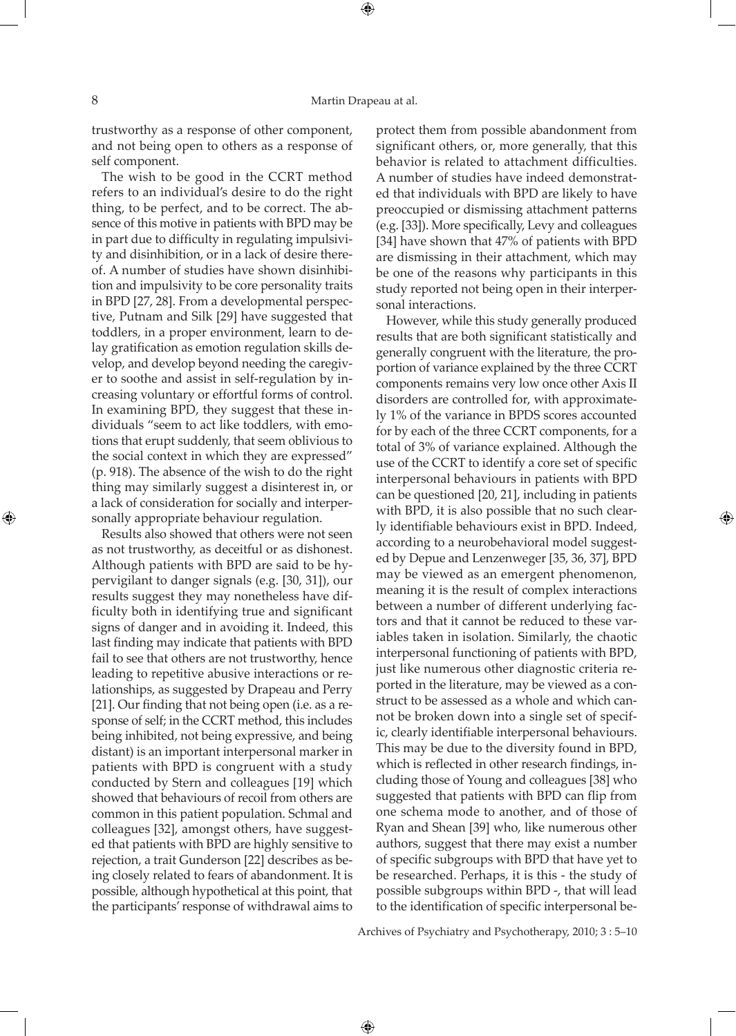trustworthy as a response of other component, and not being open to others as a response of self component.

The wish to be good in the CCRT method refers to an individual's desire to do the right thing, to be perfect, and to be correct. The absence of this motive in patients with BPD may be in part due to difficulty in regulating impulsivity and disinhibition, or in a lack of desire thereof. A number of studies have shown disinhibition and impulsivity to be core personality traits in BPD [27, 28]. From a developmental perspective, Putnam and Silk [29] have suggested that toddlers, in a proper environment, learn to delay gratification as emotion regulation skills develop, and develop beyond needing the caregiver to soothe and assist in self-regulation by increasing voluntary or effortful forms of control. In examining BPD, they suggest that these individuals "seem to act like toddlers, with emotions that erupt suddenly, that seem oblivious to the social context in which they are expressed" (p. 918). The absence of the wish to do the right thing may similarly suggest a disinterest in, or a lack of consideration for socially and interpersonally appropriate behaviour regulation.

Results also showed that others were not seen as not trustworthy, as deceitful or as dishonest. Although patients with BPD are said to be hypervigilant to danger signals (e.g. [30, 31]), our results suggest they may nonetheless have difficulty both in identifying true and significant signs of danger and in avoiding it. Indeed, this last finding may indicate that patients with BPD fail to see that others are not trustworthy, hence leading to repetitive abusive interactions or relationships, as suggested by Drapeau and Perry [21]. Our finding that not being open (i.e. as a response of self; in the CCRT method, this includes being inhibited, not being expressive, and being distant) is an important interpersonal marker in patients with BPD is congruent with a study conducted by Stern and colleagues [19] which showed that behaviours of recoil from others are common in this patient population. Schmal and colleagues [32], amongst others, have suggested that patients with BPD are highly sensitive to rejection, a trait Gunderson [22] describes as being closely related to fears of abandonment. It is possible, although hypothetical at this point, that the participants' response of withdrawal aims to

protect them from possible abandonment from significant others, or, more generally, that this behavior is related to attachment difficulties. A number of studies have indeed demonstrated that individuals with BPD are likely to have preoccupied or dismissing attachment patterns (e.g. [33]). More specifically, Levy and colleagues [34] have shown that 47% of patients with BPD are dismissing in their attachment, which may be one of the reasons why participants in this study reported not being open in their interpersonal interactions.

However, while this study generally produced results that are both significant statistically and generally congruent with the literature, the proportion of variance explained by the three CCRT components remains very low once other Axis II disorders are controlled for, with approximately 1% of the variance in BPDS scores accounted for by each of the three CCRT components, for a total of 3% of variance explained. Although the use of the CCRT to identify a core set of specific interpersonal behaviours in patients with BPD can be questioned [20, 21], including in patients with BPD, it is also possible that no such clearly identifiable behaviours exist in BPD. Indeed, according to a neurobehavioral model suggested by Depue and Lenzenweger [35, 36, 37], BPD may be viewed as an emergent phenomenon, meaning it is the result of complex interactions between a number of different underlying factors and that it cannot be reduced to these variables taken in isolation. Similarly, the chaotic interpersonal functioning of patients with BPD, just like numerous other diagnostic criteria reported in the literature, may be viewed as a construct to be assessed as a whole and which cannot be broken down into a single set of specific, clearly identifiable interpersonal behaviours. This may be due to the diversity found in BPD, which is reflected in other research findings, including those of Young and colleagues [38] who suggested that patients with BPD can flip from one schema mode to another, and of those of Ryan and Shean [39] who, like numerous other authors, suggest that there may exist a number of specific subgroups with BPD that have yet to be researched. Perhaps, it is this - the study of possible subgroups within BPD -, that will lead to the identification of specific interpersonal be-

Archives of Psychiatry and Psychotherapy, 2010; 3 : 5–10

 $\bigoplus$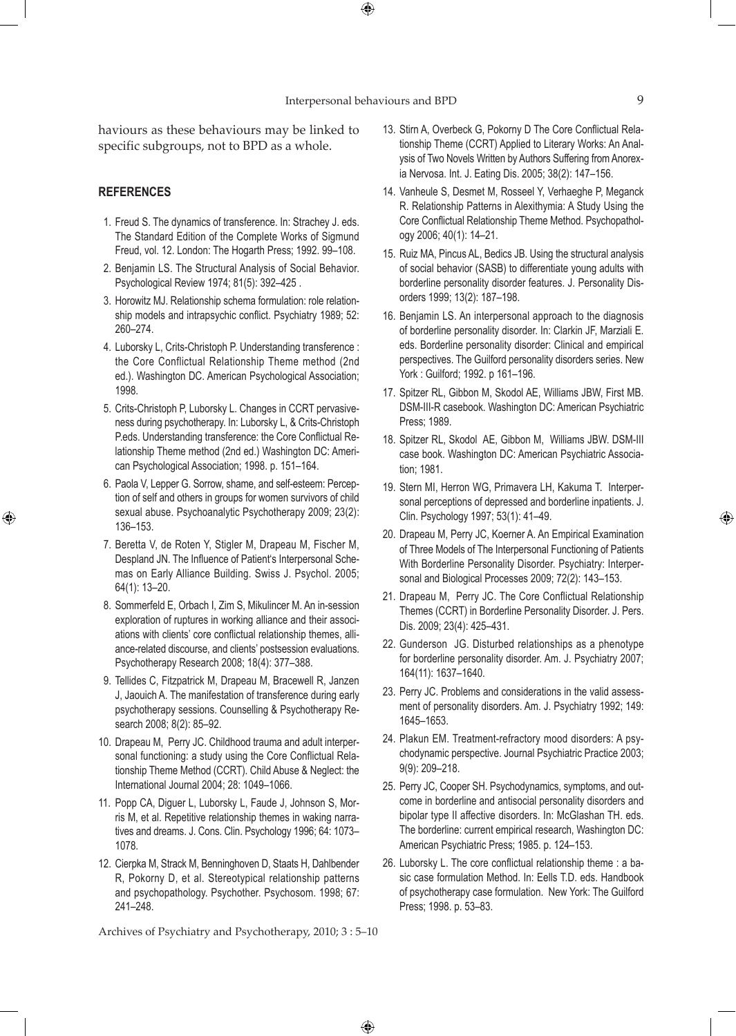$\bigoplus$ 

haviours as these behaviours may be linked to specific subgroups, not to BPD as a whole.

## **References**

⊕

- 1. Freud S. The dynamics of transference. In: Strachey J. eds. The Standard Edition of the Complete Works of Sigmund Freud, vol. 12. London: The Hogarth Press; 1992. 99–108.
- 2. Benjamin LS. The Structural Analysis of Social Behavior. Psychological Review 1974; 81(5): 392–425 .
- 3. Horowitz MJ. Relationship schema formulation: role relationship models and intrapsychic conflict. Psychiatry 1989; 52: 260–274.
- 4. Luborsky L, Crits-Christoph P. Understanding transference : the Core Conflictual Relationship Theme method (2nd ed.). Washington DC. American Psychological Association; 1998.
- 5. Crits-Christoph P, Luborsky L. Changes in CCRT pervasiveness during psychotherapy. In: Luborsky L, & Crits-Christoph P.eds. Understanding transference: the Core Conflictual Relationship Theme method (2nd ed.) Washington DC: American Psychological Association; 1998. p. 151–164.
- 6. Paola V, Lepper G. Sorrow, shame, and self-esteem: Perception of self and others in groups for women survivors of child sexual abuse. Psychoanalytic Psychotherapy 2009; 23(2): 136–153.
- 7. Beretta V, de Roten Y, Stigler M, Drapeau M, Fischer M, Despland JN. The Influence of Patient's Interpersonal Schemas on Early Alliance Building. Swiss J. Psychol. 2005; 64(1): 13–20.
- 8. Sommerfeld E, Orbach I, Zim S, Mikulincer M. An in-session exploration of ruptures in working alliance and their associations with clients' core conflictual relationship themes, alliance-related discourse, and clients' postsession evaluations. Psychotherapy Research 2008; 18(4): 377–388.
- 9. Tellides C, Fitzpatrick M, Drapeau M, Bracewell R, Janzen J, Jaouich A. The manifestation of transference during early psychotherapy sessions. Counselling & Psychotherapy Research 2008; 8(2): 85–92.
- 10. Drapeau M, Perry JC. Childhood trauma and adult interpersonal functioning: a study using the Core Conflictual Relationship Theme Method (CCRT). Child Abuse & Neglect: the International Journal 2004; 28: 1049–1066.
- 11. Popp CA, Diguer L, Luborsky L, Faude J, Johnson S, Morris M, et al. Repetitive relationship themes in waking narratives and dreams. J. Cons. Clin. Psychology 1996; 64: 1073– 1078.
- 12. Cierpka M, Strack M, Benninghoven D, Staats H, Dahlbender R, Pokorny D, et al. Stereotypical relationship patterns and psychopathology. Psychother. Psychosom. 1998; 67: 241–248.

Archives of Psychiatry and Psychotherapy, 2010; 3 : 5–10

 $\bigoplus$ 

- 13. Stirn A, Overbeck G, Pokorny D The Core Conflictual Relationship Theme (CCRT) Applied to Literary Works: An Analysis of Two Novels Written by Authors Suffering from Anorexia Nervosa. Int. J. Eating Dis. 2005; 38(2): 147–156.
- 14. Vanheule S, Desmet M, Rosseel Y, Verhaeghe P, Meganck R. Relationship Patterns in Alexithymia: A Study Using the Core Conflictual Relationship Theme Method. Psychopathology 2006; 40(1): 14–21.
- 15. Ruiz MA, Pincus AL, Bedics JB. Using the structural analysis of social behavior (SASB) to differentiate young adults with borderline personality disorder features. J. Personality Disorders 1999; 13(2): 187–198.
- 16. Benjamin LS. An interpersonal approach to the diagnosis of borderline personality disorder. In: Clarkin JF, Marziali E. eds. Borderline personality disorder: Clinical and empirical perspectives. The Guilford personality disorders series. New York : Guilford; 1992. p 161–196.
- 17. Spitzer RL, Gibbon M, Skodol AE, Williams JBW, First MB. DSM-III-R casebook. Washington DC: American Psychiatric Press; 1989.
- 18. Spitzer RL, Skodol AE, Gibbon M, Williams JBW. DSM-III case book. Washington DC: American Psychiatric Association; 1981.
- 19. Stern MI, Herron WG, Primavera LH, Kakuma T. Interpersonal perceptions of depressed and borderline inpatients. J. Clin. Psychology 1997; 53(1): 41–49.
- 20. Drapeau M, Perry JC, Koerner A. An Empirical Examination of Three Models of The Interpersonal Functioning of Patients With Borderline Personality Disorder. Psychiatry: Interpersonal and Biological Processes 2009; 72(2): 143–153.
- 21. Drapeau M, Perry JC. The Core Conflictual Relationship Themes (CCRT) in Borderline Personality Disorder. J. Pers. Dis. 2009; 23(4): 425–431.
- 22. Gunderson JG. Disturbed relationships as a phenotype for borderline personality disorder. Am. J. Psychiatry 2007; 164(11): 1637–1640.
- 23. Perry JC. Problems and considerations in the valid assessment of personality disorders. Am. J. Psychiatry 1992; 149: 1645–1653.
- 24. Plakun EM. Treatment-refractory mood disorders: A psychodynamic perspective. Journal Psychiatric Practice 2003; 9(9): 209–218.
- 25. Perry JC, Cooper SH. Psychodynamics, symptoms, and outcome in borderline and antisocial personality disorders and bipolar type II affective disorders. In: McGlashan TH. eds. The borderline: current empirical research, Washington DC: American Psychiatric Press; 1985. p. 124–153.
- 26. Luborsky L. The core conflictual relationship theme : a basic case formulation Method. In: Eells T.D. eds. Handbook of psychotherapy case formulation. New York: The Guilford Press; 1998. p. 53–83.